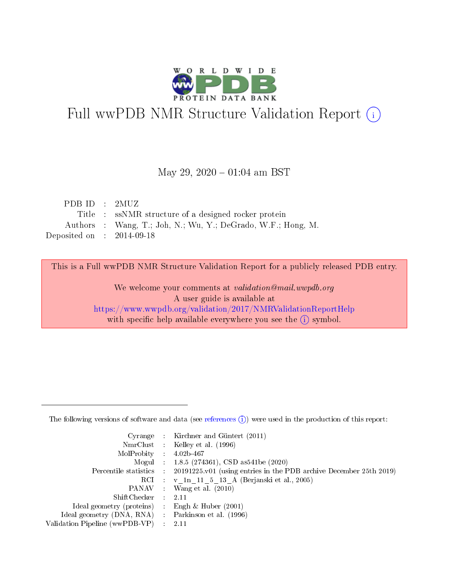

# Full wwPDB NMR Structure Validation Report (i)

#### May 29,  $2020 - 01:04$  am BST

| PDBID : 2MUZ                |                                                              |
|-----------------------------|--------------------------------------------------------------|
|                             | Title : ssNMR structure of a designed rocker protein         |
|                             | Authors : Wang, T.; Joh, N.; Wu, Y.; DeGrado, W.F.; Hong, M. |
| Deposited on : $2014-09-18$ |                                                              |

This is a Full wwPDB NMR Structure Validation Report for a publicly released PDB entry.

We welcome your comments at validation@mail.wwpdb.org A user guide is available at <https://www.wwpdb.org/validation/2017/NMRValidationReportHelp> with specific help available everywhere you see the  $(i)$  symbol.

The following versions of software and data (see [references](https://www.wwpdb.org/validation/2017/NMRValidationReportHelp#references)  $(1)$ ) were used in the production of this report:

|                                | Cyrange : Kirchner and Güntert $(2011)$                            |
|--------------------------------|--------------------------------------------------------------------|
|                                | NmrClust : Kelley et al. (1996)                                    |
| MolProbity                     | $4.02b - 467$                                                      |
|                                | Mogul : 1.8.5 (274361), CSD as 541 be (2020)                       |
| Percentile statistics :        | 20191225.v01 (using entries in the PDB archive December 25th 2019) |
|                                | RCI : v 1n 11 5 13 A (Berjanski et al., 2005)                      |
| PANAV :                        | Wang et al. $(2010)$                                               |
| $ShiftChecker$ :               | 2.11                                                               |
| Ideal geometry (proteins) :    | Engh $\&$ Huber (2001)                                             |
| Ideal geometry (DNA, RNA) :    | Parkinson et al. (1996)                                            |
| Validation Pipeline (wwPDB-VP) | 2.11                                                               |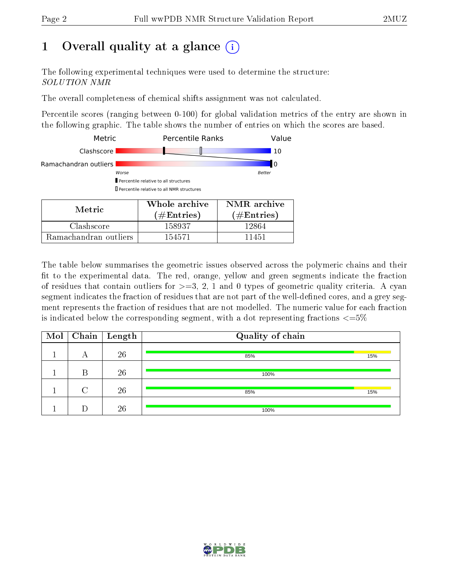## 1 [O](https://www.wwpdb.org/validation/2017/NMRValidationReportHelp#overall_quality)verall quality at a glance  $(i)$

The following experimental techniques were used to determine the structure: SOLUTION NMR

The overall completeness of chemical shifts assignment was not calculated.

Percentile scores (ranging between 0-100) for global validation metrics of the entry are shown in the following graphic. The table shows the number of entries on which the scores are based.

| $M$ otrio             | Whole archive                                                                               | NMR archive   |
|-----------------------|---------------------------------------------------------------------------------------------|---------------|
|                       | Percentile relative to all structures<br><b>I</b> Percentile relative to all NMR structures |               |
| Worse                 |                                                                                             | <b>Better</b> |
| Ramachandran outliers |                                                                                             | υ             |
| Clashscore            |                                                                                             | 10            |
| Metric                | <b>Percentile Ranks</b>                                                                     | Value         |

| Metric.               | Whole archive<br>$(\#\text{Entries})$ | NMR archive<br>$(\#Entries)$ |  |  |
|-----------------------|---------------------------------------|------------------------------|--|--|
| Clashscore            | 158937                                | 12864                        |  |  |
| Ramachandran outliers | 154571                                | 11451                        |  |  |

The table below summarises the geometric issues observed across the polymeric chains and their fit to the experimental data. The red, orange, yellow and green segments indicate the fraction of residues that contain outliers for  $>=$  3, 2, 1 and 0 types of geometric quality criteria. A cyan segment indicates the fraction of residues that are not part of the well-defined cores, and a grey segment represents the fraction of residues that are not modelled. The numeric value for each fraction is indicated below the corresponding segment, with a dot representing fractions  $\langle=5\%$ 

| Mol | Chain | Length | Quality of chain |     |
|-----|-------|--------|------------------|-----|
|     | А     | 26     | 85%              | 15% |
|     | R     | 26     | 100%             |     |
|     |       | 26     | 85%              | 15% |
|     |       | 26     | 100%             |     |

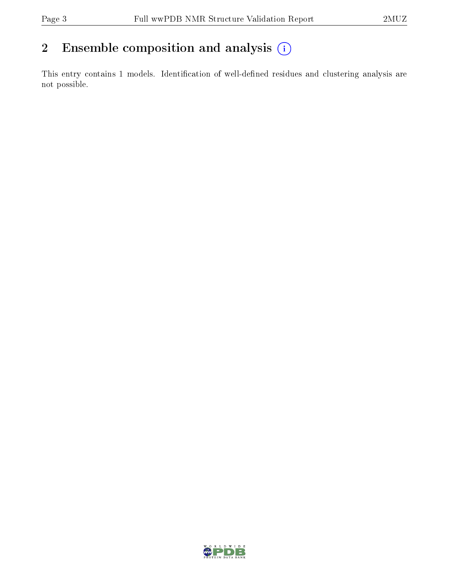## 2 Ensemble composition and analysis  $(i)$

This entry contains 1 models. Identification of well-defined residues and clustering analysis are not possible.

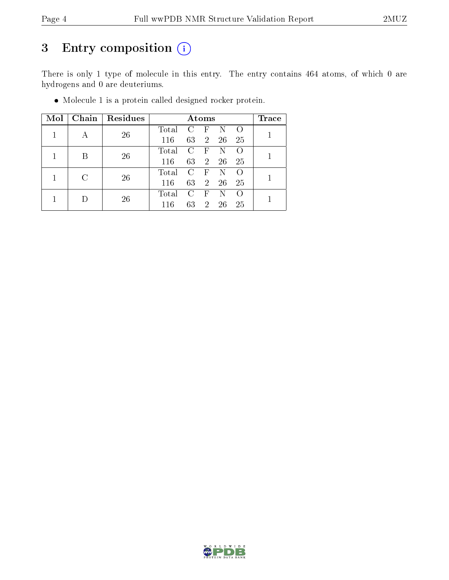## 3 Entry composition (i)

There is only 1 type of molecule in this entry. The entry contains 464 atoms, of which 0 are hydrogens and 0 are deuteriums.

Molecule 1 is a protein called designed rocker protein.

| $\text{Mol}$ |   | Chain   Residues |       |                | $\rm{Atoms}$   |     |     | $\operatorname{Trace}$ |  |
|--------------|---|------------------|-------|----------------|----------------|-----|-----|------------------------|--|
|              |   |                  | Total | <sup>C</sup>   | $\mathbf{F}$   | N   |     |                        |  |
|              |   | 26               | 116   | 63             | 2 <sup>1</sup> | 26  | -25 |                        |  |
|              |   | 26               | Total | $\mathcal{C}$  | $\overline{F}$ | N   |     |                        |  |
|              |   |                  | 116   | 63             | $\sim$ 2       | 26  | -25 |                        |  |
|              | C | 26               | Total | $\mathcal{C}$  | $\mathbf{F}$   | N   |     |                        |  |
|              |   | 116              | 63    | $\overline{2}$ | 26             | -25 |     |                        |  |
|              |   | 26               | Total | $\mathcal{C}$  | $\mathbf{F}$   |     |     |                        |  |
|              |   |                  | 116   | 63             | $2^{\circ}$    | 26  | 25  |                        |  |

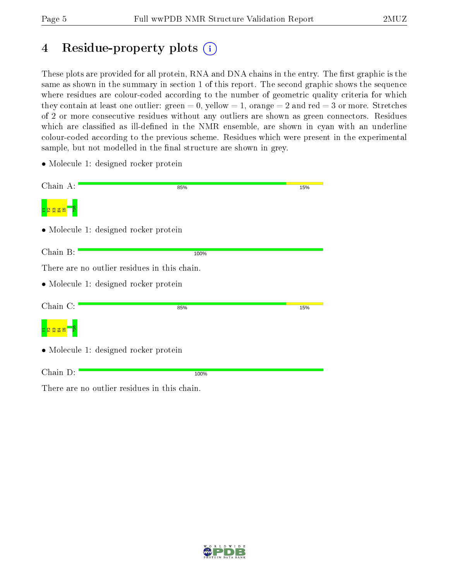## 4 Residue-property plots  $\binom{1}{1}$

These plots are provided for all protein, RNA and DNA chains in the entry. The first graphic is the same as shown in the summary in section 1 of this report. The second graphic shows the sequence where residues are colour-coded according to the number of geometric quality criteria for which they contain at least one outlier: green  $= 0$ , yellow  $= 1$ , orange  $= 2$  and red  $= 3$  or more. Stretches of 2 or more consecutive residues without any outliers are shown as green connectors. Residues which are classified as ill-defined in the NMR ensemble, are shown in cyan with an underline colour-coded according to the previous scheme. Residues which were present in the experimental sample, but not modelled in the final structure are shown in grey.

• Molecule 1: designed rocker protein

| Chain A:                                     | 85%  | 15% |
|----------------------------------------------|------|-----|
|                                              |      |     |
| • Molecule 1: designed rocker protein        |      |     |
| Chain B:                                     | 100% |     |
| There are no outlier residues in this chain. |      |     |
| • Molecule 1: designed rocker protein        |      |     |
| Chain C:                                     | 85%  | 15% |
| 2238                                         |      |     |
| • Molecule 1: designed rocker protein        |      |     |
| Chain D:                                     | 100% |     |

There are no outlier residues in this chain.

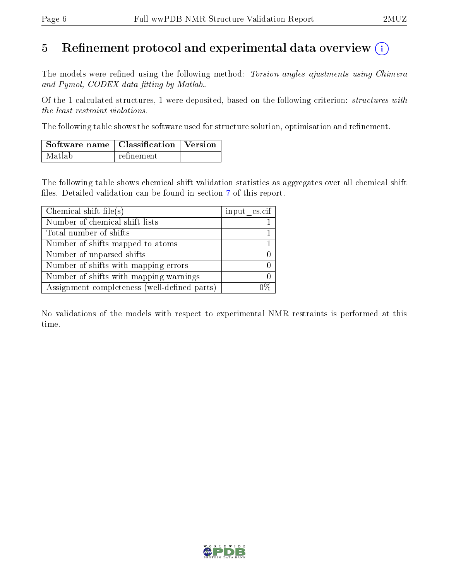### 5 Refinement protocol and experimental data overview  $\binom{1}{k}$

The models were refined using the following method: Torsion angles ajustments using Chimera and Pymol, CODEX data fitting by Matlab...

Of the 1 calculated structures, 1 were deposited, based on the following criterion: structures with the least restraint violations.

The following table shows the software used for structure solution, optimisation and refinement.

| $\vert$ Software name $\vert$ Classification $\vert$ Version |            |  |
|--------------------------------------------------------------|------------|--|
| Matlab                                                       | refinement |  |

The following table shows chemical shift validation statistics as aggregates over all chemical shift files. Detailed validation can be found in section [7](#page-9-0) of this report.

| Chemical shift file(s)                       | input cs.cif |
|----------------------------------------------|--------------|
| Number of chemical shift lists               |              |
| Total number of shifts                       |              |
| Number of shifts mapped to atoms             |              |
| Number of unparsed shifts                    |              |
| Number of shifts with mapping errors         |              |
| Number of shifts with mapping warnings       |              |
| Assignment completeness (well-defined parts) |              |

No validations of the models with respect to experimental NMR restraints is performed at this time.

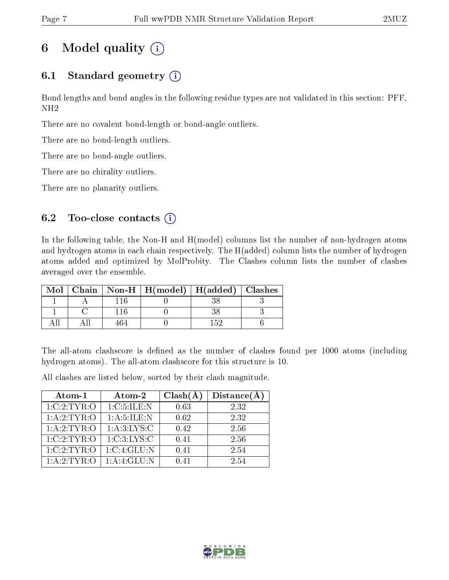## 6 Model quality  $(i)$

### 6.1 Standard geometry  $(i)$

Bond lengths and bond angles in the following residue types are not validated in this section: PFF, NH2

There are no covalent bond-length or bond-angle outliers.

There are no bond-length outliers.

There are no bond-angle outliers.

There are no chirality outliers.

There are no planarity outliers.

#### 6.2 Too-close contacts  $(i)$

In the following table, the Non-H and H(model) columns list the number of non-hydrogen atoms and hydrogen atoms in each chain respectively. The H(added) column lists the number of hydrogen atoms added and optimized by MolProbity. The Clashes column lists the number of clashes averaged over the ensemble.

| Mol |  | Chain   Non-H   H(model)   H(added)   Clashes |  |
|-----|--|-----------------------------------------------|--|
|     |  |                                               |  |
|     |  |                                               |  |
|     |  |                                               |  |

The all-atom clashscore is defined as the number of clashes found per 1000 atoms (including hydrogen atoms). The all-atom clashscore for this structure is 10.

All clashes are listed below, sorted by their clash magnitude.

| Atom-1          | Atom-2          | $Clash(\AA)$ | Distance(A) |
|-----------------|-----------------|--------------|-------------|
| 1:C:2:TYR:O     | 1: C: 5: ILE: N | 0.63         | 2.32        |
| 1: A: 2: TYR: O | 1: A: 5: ILE: N | 0.62         | 2.32        |
| 1: A:2:TYR:O    | 1: A:3: LYS:C   | 0.42         | 2.56        |
| 1:C:2:TYR:O     | 1:C:3:LYS:C     | 0.41         | 2.56        |
| 1:C:2:TYR:O     | 1:C:4:GLU:N     | 0.41         | 2.54        |
| 1: A:2: TYR:O   | 1: A:4: GLU:N   | በ 41         | 2.54        |

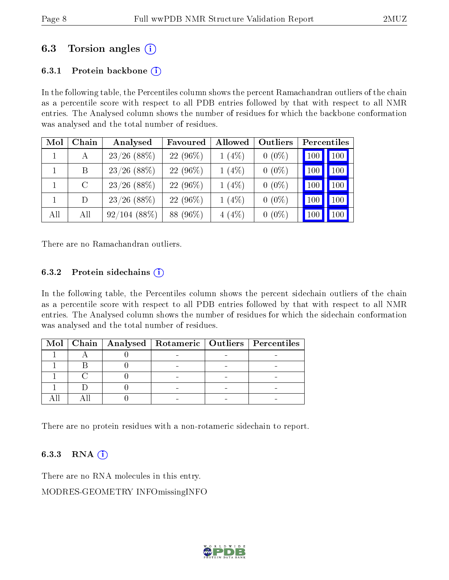### 6.3 Torsion angles (i)

#### 6.3.1 Protein backbone  $(i)$

In the following table, the Percentiles column shows the percent Ramachandran outliers of the chain as a percentile score with respect to all PDB entries followed by that with respect to all NMR entries. The Analysed column shows the number of residues for which the backbone conformation was analysed and the total number of residues.

| Mol | Chain   | Analysed       | Favoured   | Allowed  | Outliers |     | Percentiles |
|-----|---------|----------------|------------|----------|----------|-----|-------------|
|     | А       | $23/26$ (88%)  | $22(96\%)$ | $1(4\%)$ | $0(0\%)$ | 100 | 100         |
|     | B       | $23/26$ (88%)  | $22(96\%)$ | $1(4\%)$ | $0(0\%)$ | 100 | 100         |
|     | $\rm C$ | $23/26$ (88%)  | 22 (96%)   | $1(4\%)$ | $0(0\%)$ | 100 | 100         |
|     | D       | $23/26$ (88%)  | $22(96\%)$ | $1(4\%)$ | $0(0\%)$ | 100 | 100         |
| All | All     | $92/104(88\%)$ | 88 (96%)   | $4(4\%)$ | $0(0\%)$ | 100 | 100         |

There are no Ramachandran outliers.

#### 6.3.2 Protein sidechains  $(i)$

In the following table, the Percentiles column shows the percent sidechain outliers of the chain as a percentile score with respect to all PDB entries followed by that with respect to all NMR entries. The Analysed column shows the number of residues for which the sidechain conformation was analysed and the total number of residues.

|  |  | Mol   Chain   Analysed   Rotameric   Outliers   Percentiles |
|--|--|-------------------------------------------------------------|
|  |  |                                                             |
|  |  |                                                             |
|  |  |                                                             |
|  |  |                                                             |
|  |  |                                                             |

There are no protein residues with a non-rotameric sidechain to report.

#### 6.3.3 RNA  $(i)$

There are no RNA molecules in this entry. MODRES-GEOMETRY INFOmissingINFO

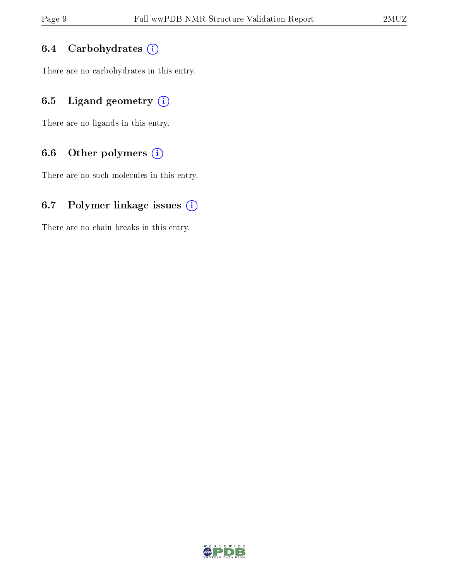#### 6.4 Carbohydrates  $(i)$

There are no carbohydrates in this entry.

### 6.5 Ligand geometry  $(i)$

There are no ligands in this entry.

#### 6.6 [O](https://www.wwpdb.org/validation/2017/NMRValidationReportHelp#nonstandard_residues_and_ligands)ther polymers  $(i)$

There are no such molecules in this entry.

#### 6.7 Polymer linkage issues  $(i)$

There are no chain breaks in this entry.

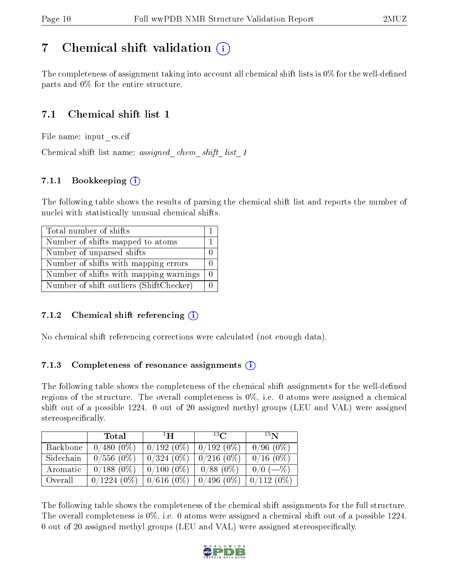## <span id="page-9-0"></span>7 Chemical shift validation  $\left( \begin{array}{c} \overline{1} \end{array} \right)$

The completeness of assignment taking into account all chemical shift lists is  $0\%$  for the well-defined parts and 0% for the entire structure.

### 7.1 Chemical shift list 1

File name: input\_cs.cif

Chemical shift list name: assigned chem shift list 1

#### 7.1.1 Bookkeeping  $(i)$

The following table shows the results of parsing the chemical shift list and reports the number of nuclei with statistically unusual chemical shifts.

| Total number of shifts                  |  |
|-----------------------------------------|--|
| Number of shifts mapped to atoms        |  |
| Number of unparsed shifts               |  |
| Number of shifts with mapping errors    |  |
| Number of shifts with mapping warnings  |  |
| Number of shift outliers (ShiftChecker) |  |

#### 7.1.2 Chemical shift referencing  $\hat{I}$

No chemical shift referencing corrections were calculated (not enough data).

#### 7.1.3 Completeness of resonance assignments  $(i)$

The following table shows the completeness of the chemical shift assignments for the well-defined regions of the structure. The overall completeness is  $0\%$ , i.e. 0 atoms were assigned a chemical shift out of a possible 1224. 0 out of 20 assigned methyl groups (LEU and VAL) were assigned stereospecifically.

|           | Total         | $\perp$ H    | $^{13}$ C    | 15N         |
|-----------|---------------|--------------|--------------|-------------|
| Backbone  | $0/480(0\%)$  | $0/192(0\%)$ | $0/192(0\%)$ | $0/96(0\%)$ |
| Sidechain | $0/556(0\%)$  | $0/324(0\%)$ | $0/216(0\%)$ | $0/16(0\%)$ |
| Aromatic  | $0/188(0\%)$  | $0/100(0\%)$ | $0/88(0\%)$  | $0/0$ (-%)  |
| Overall   | $0/1224(0\%)$ | $0/616(0\%)$ | $0/496(0\%)$ | 0/112(0%)   |

The following table shows the completeness of the chemical shift assignments for the full structure. The overall completeness is 0%, i.e. 0 atoms were assigned a chemical shift out of a possible 1224. 0 out of 20 assigned methyl groups (LEU and VAL) were assigned stereospecifically.